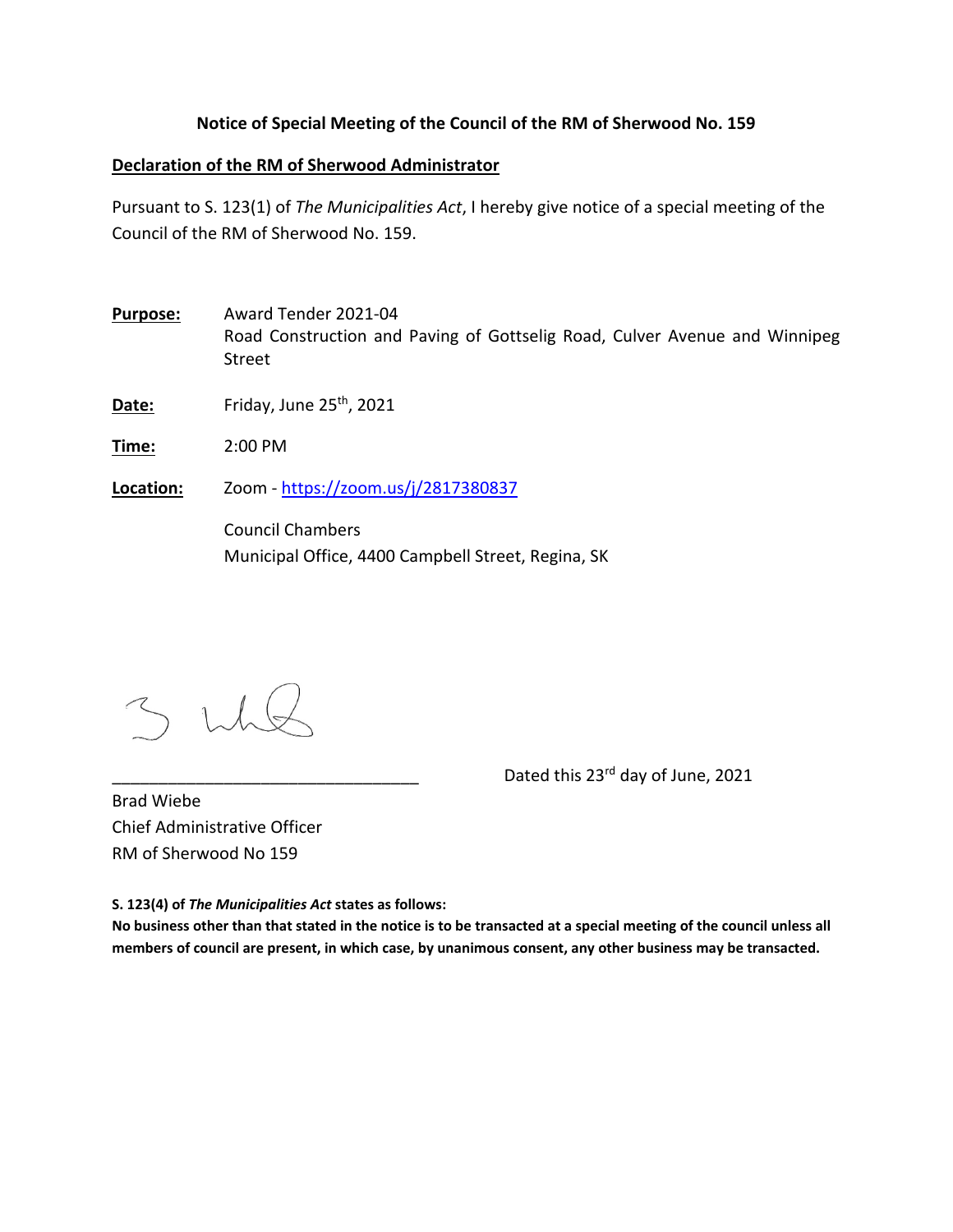## **Notice of Special Meeting of the Council of the RM of Sherwood No. 159**

## **Declaration of the RM of Sherwood Administrator**

Pursuant to S. 123(1) of *The Municipalities Act*, I hereby give notice of a special meeting of the Council of the RM of Sherwood No. 159.

**Purpose:** Award Tender 2021‐04 Road Construction and Paving of Gottselig Road, Culver Avenue and Winnipeg Street

**Date:** Friday, June 25<sup>th</sup>, 2021

**Time:** 2:00 PM

**Location:** Zoom ‐ https://zoom.us/j/2817380837

Council Chambers Municipal Office, 4400 Campbell Street, Regina, SK

Dated this 23<sup>rd</sup> day of June, 2021

Brad Wiebe Chief Administrative Officer RM of Sherwood No 159

**S. 123(4) of** *The Municipalities Act* **states as follows:** 

**No business other than that stated in the notice is to be transacted at a special meeting of the council unless all members of council are present, in which case, by unanimous consent, any other business may be transacted.**